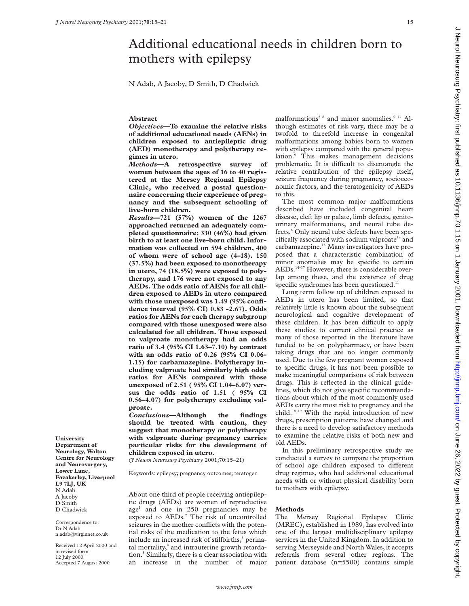$\epsilon$ 

# Additional educational needs in children born to mothers with epilepsy

N Adab, A Jacoby, D Smith, D Chadwick

## **Abstract**

*Objectives***—To examine the relative risks of additional educational needs (AENs) in children exposed to antiepileptic drug (AED) monotherapy and polytherapy regimes in utero.**

*Methods***—A retrospective survey of women between the ages of 16 to 40 registered at the Mersey Regional Epilepsy Clinic, who received a postal questionnaire concerning their experience of pregnancy and the subsequent schooling of live-born children.**

*Results***—721 (57%) women of the 1267 approached returned an adequately completed questionnaire; 330 (46%) had given birth to at least one live-born child. Information was collected on 594 children, 400 of whom were of school age (4–18). 150 (37.5%) had been exposed to monotherapy in utero, 74 (18.5%) were exposed to polytherapy, and 176 were not exposed to any AEDs. The odds ratio of AENs for all children exposed to AEDs in utero compared with those unexposed was 1.49 (95% confidence interval (95% CI) 0.83 -2.67). Odds ratios for AENs for each therapy subgroup compared with those unexposed were also calculated for all children. Those exposed to valproate monotherapy had an odds ratio of 3.4 (95% CI 1.63–7.10) by contrast with an odds ratio of 0.26 (95% CI 0.06- 1.15) for carbamazepine. Polytherapy including valproate had similarly high odds ratios for AENs compared with those unexposed of 2.51 ( 95% CI 1.04–6.07) versus the odds ratio of 1.51 ( 95% CI 0.56–4.07) for polytherapy excluding valproate.**

*Conclusions***—Although the findings should be treated with caution, they suggest that monotherapy or polytherapy with valproate during pregnancy carries particular risks for the development of children exposed in utero.**

(*J Neurol Neurosurg Psychiatry* 2001;**70**:15–21)

Keywords: epilepsy; pregnancy outcomes; teratogen

About one third of people receiving antiepileptic drugs (AEDs) are women of reproductive age<sup>1</sup> and one in 250 pregnancies may be exposed to AEDs.<sup>2</sup> The risk of uncontrolled seizures in the mother conflicts with the potential risks of the medication to the fetus which include an increased risk of stillbirths,<sup>3</sup> perinatal mortality,<sup>4</sup> and intrauterine growth retardation.5 Similarly, there is a clear association with an increase in the number of major

malformations $6-8$  and minor anomalies. $9-11$  Although estimates of risk vary, there may be a twofold to threefold increase in congenital malformations among babies born to women with epilepsy compared with the general population.<sup>6</sup> This makes management decisions problematic. It is difficult to disentangle the relative contribution of the epilepsy itself, seizure frequency during pregnancy, socioeconomic factors, and the teratogenicity of AEDs to this.

The most common major malformations described have included congenital heart disease, cleft lip or palate, limb defects, genitourinary malformations, and neural tube defects.<sup>6</sup> Only neural tube defects have been specifically associated with sodium valproate<sup>12</sup> and carbamazepine.<sup>13</sup> Many investigators have proposed that a characteristic combination of minor anomalies may be specific to certain AEDs.14–17 However, there is considerable overlap among these, and the existence of drug specific syndromes has been questioned.<sup>11</sup>

Long term follow up of children exposed to AEDs in utero has been limited, so that relatively little is known about the subsequent neurological and cognitive development of these children. It has been difficult to apply these studies to current clinical practice as many of those reported in the literature have tended to be on polypharmacy, or have been taking drugs that are no longer commonly used. Due to the few pregnant women exposed to specific drugs, it has not been possible to make meaningful comparisons of risk between drugs. This is reflected in the clinical guidelines, which do not give specific recommendations about which of the most commonly used AEDs carry the most risk to pregnancy and the child.18 19 With the rapid introduction of new drugs, prescription patterns have changed and there is a need to develop satisfactory methods to examine the relative risks of both new and old AEDs.

In this preliminary retrospective study we conducted a survey to compare the proportion of school age children exposed to different drug regimes, who had additional educational needs with or without physical disability born to mothers with epilepsy.

# **Methods**

The Mersey Regional Epilepsy Clinic (MREC), established in 1989, has evolved into one of the largest multidisciplinary epilepsy services in the United Kingdom. In addition to serving Merseyside and North Wales, it accepts referrals from several other regions. The patient database (n=5500) contains simple

**University Department of Neurology, Walton Centre for Neurology and Neurosurgery, Lower Lane, Fazakerley, Liverpool L9 7LJ, UK** N Adab A Jacoby D Smith D Chadwick

Correspondence to: Dr N Adab n.adab@virginnet.co.uk

Received 12 April 2000 and in revised form 12 July 2000 Accepted 7 August 2000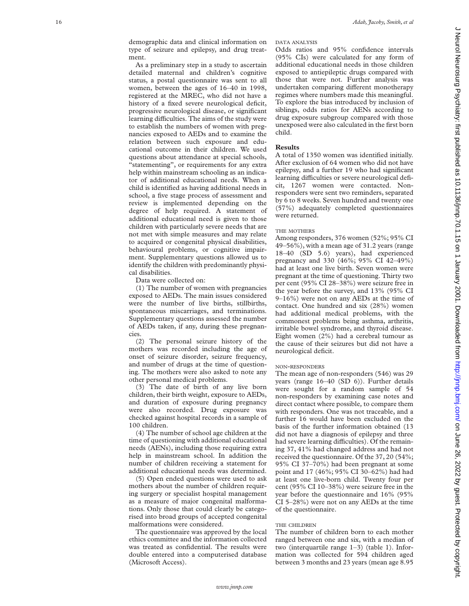As a preliminary step in a study to ascertain detailed maternal and children's cognitive status, a postal questionnaire was sent to all women, between the ages of 16–40 in 1998, registered at the MREC, who did not have a history of a fixed severe neurological deficit, progressive neurological disease, or significant learning difficulties. The aims of the study were to establish the numbers of women with pregnancies exposed to AEDs and to examine the relation between such exposure and educational outcome in their children. We used questions about attendance at special schools, "statementing", or requirements for any extra help within mainstream schooling as an indicator of additional educational needs. When a child is identified as having additional needs in school, a five stage process of assessment and review is implemented depending on the degree of help required. A statement of additional educational need is given to those children with particularly severe needs that are not met with simple measures and may relate to acquired or congenital physical disabilities, behavioural problems, or cognitive impairment. Supplementary questions allowed us to identify the children with predominantly physical disabilities.

Data were collected on:

(1) The number of women with pregnancies exposed to AEDs. The main issues considered were the number of live births, stillbirths, spontaneous miscarriages, and terminations. Supplementary questions assessed the number of AEDs taken, if any, during these pregnancies.

(2) The personal seizure history of the mothers was recorded including the age of onset of seizure disorder, seizure frequency, and number of drugs at the time of questioning. The mothers were also asked to note any other personal medical problems.

(3) The date of birth of any live born children, their birth weight, exposure to AEDs, and duration of exposure during pregnancy were also recorded. Drug exposure was checked against hospital records in a sample of 100 children.

(4) The number of school age children at the time of questioning with additional educational needs (AENs), including those requiring extra help in mainstream school. In addition the number of children receiving a statement for additional educational needs was determined.

(5) Open ended questions were used to ask mothers about the number of children requiring surgery or specialist hospital management as a measure of major congenital malformations. Only those that could clearly be categorised into broad groups of accepted congenital malformations were considered.

The questionnaire was approved by the local ethics committee and the information collected was treated as confidential. The results were double entered into a computerised database (Microsoft Access).

Odds ratios and 95% confidence intervals (95% CIs) were calculated for any form of additional educational needs in those children exposed to antiepileptic drugs compared with those that were not. Further analysis was undertaken comparing different monotherapy regimes where numbers made this meaningful. To explore the bias introduced by inclusion of siblings, odds ratios for AENs according to drug exposure subgroup compared with those unexposed were also calculated in the first born child.

# **Results**

A total of 1350 women was identified initially. After exclusion of 64 women who did not have epilepsy, and a further 19 who had significant learning difficulties or severe neurological deficit, 1267 women were contacted. Nonresponders were sent two reminders, separated by 6 to 8 weeks. Seven hundred and twenty one (57%) adequately completed questionnaires were returned.

### THE MOTHERS

Among responders, 376 women (52%; 95% CI 49–56%), with a mean age of 31.2 years (range 18–40 (SD 5.6) years), had experienced pregnancy and 330 (46%; 95% CI 42–49%) had at least one live birth. Seven women were pregnant at the time of questioning. Thirty two per cent (95% CI 28–38%) were seizure free in the year before the survey, and 13% (95% CI 9–16%) were not on any AEDs at the time of contact. One hundred and six (28%) women had additional medical problems, with the commonest problems being asthma, arthritis, irritable bowel syndrome, and thyroid disease. Eight women (2%) had a cerebral tumour as the cause of their seizures but did not have a neurological deficit.

#### NON -RESPONDERS

The mean age of non-responders (546) was 29 years (range 16–40 (SD 6)). Further details were sought for a random sample of 54 non-responders by examining case notes and direct contact where possible *,* to compare them with responders. One was not traceable, and a further 16 would have been excluded on the basis of the further information obtained (13 did not have a diagnosis of epilepsy and three had severe learning difficulties). Of the remaining 37, 41% had changed address and had not received the questionnaire. Of the 37, 20 (54%; 95% CI 37–70%) had been pregnant at some point and 17 (46%; 95% CI 30–62%) had had at least one live-born child. Twenty four per cent (95% CI 10–38%) were seizure free in the year before the questionnaire and 16% (95% CI 5–28%) were not on any AEDs at the time of the questionnaire.

### THE CHILDREN

The number of children born to each mother ranged between one and six, with a median of two (interquartile range 1–3) (table 1). Information was collected for 594 children aged between 3 months and 23 years (mean age 8.95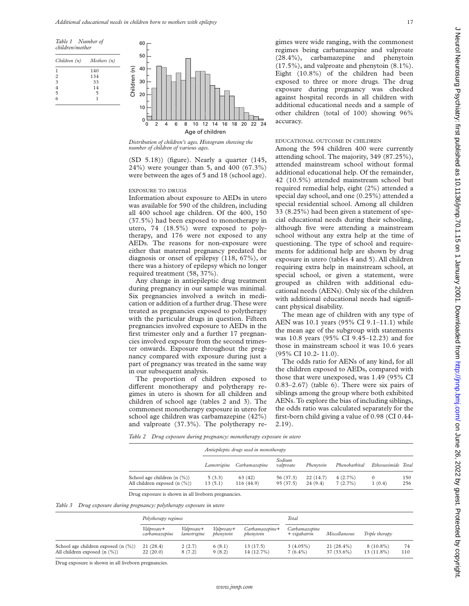



*Distribution of children's ages. Histogram showing the number of children of various ages.*

(SD 5.18)) (figure). Nearly a quarter (145, 24%) were younger than 5, and 400 (67.3%) were between the ages of 5 and 18 (school age).

#### EXPOSURE TO DRUGS

Information about exposure to AEDs in utero was available for 590 of the children, including all 400 school age children. Of the 400, 150 (37.5%) had been exposed to monotherapy in utero, 74 (18.5%) were exposed to polytherapy, and 176 were not exposed to any AEDs. The reasons for non-exposure were either that maternal pregnancy predated the diagnosis or onset of epilepsy (118, 67%), or there was a history of epilepsy which no longer required treatment (58, 37%).

Any change in antiepileptic drug treatment during pregnancy in our sample was minimal. Six pregnancies involved a switch in medication or addition of a further drug. These were treated as pregnancies exposed to polytherapy with the particular drugs in question. Fifteen pregnancies involved exposure to AEDs in the first trimester only and a further 17 pregnancies involved exposure from the second trimester onwards. Exposure throughout the pregnancy compared with exposure during just a part of pregnancy was treated in the same way in our subsequent analysis.

The proportion of children exposed to different monotherapy and polytherapy regimes in utero is shown for all children and children of school age (tables 2 and 3). The commonest monotherapy exposure in utero for school age children was carbamazepine (42%) and valproate (37.3%). The polytherapy regimes were wide ranging, with the commonest regimes being carbamazepine and valproate (28.4%), carbamazepine and phenytoin (17.5%), and valproate and phenytoin (8.1%). Eight (10.8%) of the children had been exposed to three or more drugs. The drug exposure during pregnancy was checked against hospital records in all children with additional educational needs and a sample of other children (total of 100) showing 96% accuracy.

## EDUCATIONAL OUTCOME IN CHILDREN

Among the 594 children 400 were currently attending school. The majority, 349 (87.25%), attended mainstream school without formal additional educational help. Of the remainder, 42 (10.5%) attended mainstream school but required remedial help, eight (2%) attended a special day school, and one (0.25%) attended a special residential school. Among all children 33 (8.25%) had been given a statement of special educational needs during their schooling, although five were attending a mainstream school without any extra help at the time of questioning. The type of school and requirements for additional help are shown by drug exposure in utero (tables 4 and 5). All children requiring extra help in mainstream school, at special school, or given a statement, were grouped as children with additional educational needs (AENs). Only six of the children with additional educational needs had significant physical disability.

The mean age of children with any type of AEN was 10.1 years (95% CI 9.1–11.1) while the mean age of the subgroup with statements was 10.8 years (95% CI 9.45–12.23) and for those in mainstream school it was 10.6 years (95% CI 10.2- 11.0).

The odds ratio for AENs of any kind, for all the children exposed to AEDs, compared with those that were unexposed, was 1.49 (95% CI 0.83–2.67) (table 6). There were six pairs of siblings among the group where both exhibited AENs. To explore the bias of including siblings, the odds ratio was calculated separately for the first-born child giving a value of 0.98 (CI 0.44- 2.19).

*Table 2 Drug exposure during pregnancy: monotherapy exposure in utero*

|                                                                      | Antiepileptic drugs used in monotherapy |                           |                       |                     |                       |                    |            |
|----------------------------------------------------------------------|-----------------------------------------|---------------------------|-----------------------|---------------------|-----------------------|--------------------|------------|
|                                                                      |                                         | Lamotrigine Carbamazepine | Sodium<br>valproate   | Phenytoin           | Phenobarbital         | Ethosuximide Total |            |
| School age children $(n \ (\%))$<br>All children exposed $(n \ (\%)$ | 5(3.3)<br>13(5.1)                       | 63(42)<br>116(44.9)       | 56 (37.3)<br>95(37.5) | 22(14.7)<br>24(9.4) | $4(2.7\%)$<br>7(2.7%) | 1(0.4)             | 150<br>256 |

Drug exposure is shown in all liveborn pregnancies.

## *Table 3 Drug exposure during pregnancy: polytherapy exposure in utero*

|                                                                             | Polytherapy regimes         |                           |                         |                                 | Total                           |                            |                             |           |
|-----------------------------------------------------------------------------|-----------------------------|---------------------------|-------------------------|---------------------------------|---------------------------------|----------------------------|-----------------------------|-----------|
|                                                                             | Valproate+<br>carbamazepine | Valproate+<br>lamotrigine | Valproate+<br>phenytoin | $Carbam a zepine+$<br>phenytoin | Carbamazepine<br>$+ vigabatrin$ | Miscellaneous              | Triple therapy              |           |
| School age children exposed $(n \ (\%)$<br>All children exposed $(n \ (\%)$ | 21(28.4)<br>22(20.0)        | 2(2.7)<br>8(7.2)          | 6(8.1)<br>9(8.2)        | 13(17.5)<br>14 (12.7%)          | $3(4.05\%)$<br>$7(6.4\%)$       | $21(28.4\%)$<br>37 (33.6%) | $8(10.8\%)$<br>$13(11.8\%)$ | 74<br>110 |

Drug exposure is shown in all liveborn pregnancies.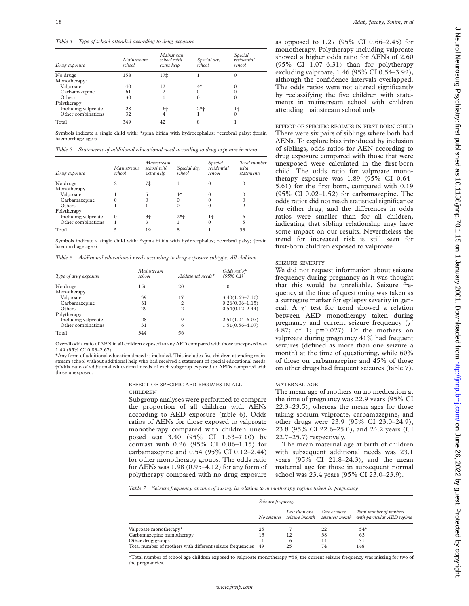*Table 4 Type of school attended according to drug exposure*

| Mainstream<br>school | Mainstream<br>school with<br>extra help | Special day<br>school | Special<br>residential<br>school |
|----------------------|-----------------------------------------|-----------------------|----------------------------------|
| 158                  | 17‡                                     |                       |                                  |
|                      |                                         |                       |                                  |
| 40                   | 12                                      | $4^{\star}$           |                                  |
| 61                   | $\overline{c}$                          | $\Omega$              |                                  |
| 30                   |                                         | $\Omega$              |                                  |
|                      |                                         |                       |                                  |
| 28                   | 6†                                      | $2*+$                 | $1+$                             |
| 32                   | 4                                       |                       | $\Omega$                         |
| 349                  | 42                                      | 8                     |                                  |
|                      |                                         |                       |                                  |

Symbols indicate a single child with: \*spina bifida with hydrocephalus; †cerebral palsy; ‡brain haemorrhage age 6

*Table 5 Statements of additional educational need according to drug exposure in utero*

| Drug exposure       | Mainstream<br>school | Mainstream<br>school with<br>extra help | Special day<br>school | Special<br>residential<br>school | Total number<br>with<br>statements |
|---------------------|----------------------|-----------------------------------------|-----------------------|----------------------------------|------------------------------------|
| No drugs            | 2                    | 7‡                                      |                       |                                  | 10                                 |
| Monotherapy         |                      |                                         |                       |                                  |                                    |
| Valproate           |                      | 5                                       | $4^{\star}$           |                                  | 10                                 |
| Carbamazepine       |                      |                                         |                       |                                  |                                    |
| Others              |                      |                                         |                       |                                  |                                    |
| Polytherapy         |                      |                                         |                       |                                  |                                    |
| Including valproate | 0                    | 3†                                      | $2*$ +                | $1+$                             | 6                                  |
| Other combinations  |                      | 3                                       |                       |                                  | 5                                  |
| Total               | 5                    | 19                                      | 8                     |                                  | 33                                 |

Symbols indicate a single child with: \*spina bifida with hydrocephalus; †cerebral palsy; ‡brain haemorrhage age 6

*Table 6 Additional educational needs according to drug exposure subtype. All children*

| Type of drug exposure | Mainstream<br>school | Additional needs <sup>*</sup> | Odds ratio†<br>$(95\% \text{ CI})$ |
|-----------------------|----------------------|-------------------------------|------------------------------------|
| No drugs              | 156                  | 20                            | 1.0                                |
| Monotherapy           |                      |                               |                                    |
| Valproate             | 39                   | 17                            | $3.40(1.63 - 7.10)$                |
| Carbamazepine         | 61                   | 2                             | $0.26(0.06 - 1.15)$                |
| Others                | 29                   | $\mathfrak{D}$                | $0.54(0.12 - 2.44)$                |
| Polytherapy           |                      |                               |                                    |
| Including valproate   | 28                   | 9                             | $2.51(1.04 - 6.07)$                |
| Other combinations    | 31                   | 6                             | $1.51(0.56 - 4.07)$                |
| Total                 | 344                  | 56                            |                                    |

Overall odds ratio of AEN in all children exposed to any AED compared with those unexposed was 1.49 (95% CI 0.83–2.67).

\*Any form of additional educational need is included. This includes five children attending mainstream school without additional help who had received a statement of special educational needs. †Odds ratio of additional educational needs of each subgroup exposed to AEDs compared with those unexposed.

> EFFECT OF SPECIFIC AED REGIMES IN ALL CHILDREN

Subgroup analyses were performed to compare the proportion of all children with AENs according to AED exposure (table 6). Odds ratios of AENs for those exposed to valproate monotherapy compared with children unexposed was 3.40 (95% CI 1.63–7.10) by contrast with 0.26 (95% CI 0.06–1.15) for carbamazepine and 0.54 (95% CI 0.12–2.44) for other monotherapy groups. The odds ratio for AENs was 1.98 (0.95–4.12) for any form of polytherapy compared with no drug exposure

as opposed to 1.27 (95% CI 0.66–2.45) for monotherapy. Polytherapy including valproate showed a higher odds ratio for AENs of 2.60 (95% CI 1.07–6.31) than for polytherapy excluding valproate, 1.46 (95% CI 0.54–3.92), although the confidence intervals overlapped. The odds ratios were not altered significantly by reclassifying the five children with statements in mainstream school with children attending mainstream school only.

EFFECT OF SPECIFIC REGIMES IN FIRST BORN CHILD There were six pairs of siblings where both had AENs. To explore bias introduced by inclusion of siblings, odds ratios for AEN according to drug exposure compared with those that were unexposed were calculated in the first-born child. The odds ratio for valproate monotherapy exposure was 1.89 (95% CI 0.64– 5.61) for the first born, compared with 0.19 (95% CI 0.02–1.52) for carbamazepine. The odds ratios did not reach statistical significance for either drug, and the differences in odds ratios were smaller than for all children, indicating that sibling relationship may have some impact on our results. Nevertheless the trend for increased risk is still seen for first-born children exposed to valproate

#### SEIZURE SEVERITY

We did not request information about seizure frequency during pregnancy as it was thought that this would be unreliable. Seizure frequency at the time of questioning was taken as a surrogate marker for epilepsy severity in general. A  $\chi^2$  test for trend showed a relation between AED monotherapy taken during pregnancy and current seizure frequency  $(\chi^2)$ 4.87; df 1; p=0.027). Of the mothers on valproate during pregnancy 41% had frequent seizures (defined as more than one seizure a month) at the time of questioning, while 60% of those on carbamazepine and 45% of those on other drugs had frequent seizures (table 7).

#### MATERNAL AGE

The mean age of mothers on no medication at the time of pregnancy was 22.9 years (95% CI 22.3–23.5), whereas the mean ages for those taking sodium valproate, carbamazepine, and other drugs were 23.9 (95% CI 23.0–24.9), 23.8 (95% CI 22.6–25.0), and 24.2 years (CI 22.7–25.7) respectively.

The mean maternal age at birth of children with subsequent additional needs was 23.1 years (95% CI 21.8–24.3), and the mean maternal age for those in subsequent normal school was 23.4 years (95% CI 23.0–23.9).

*Table 7 Seizure frequency at time of survey in relation to monotherapy regime taken in pregnancy*

|                                                               | Seizure frequency |               |             |                                                                                                  |  |
|---------------------------------------------------------------|-------------------|---------------|-------------|--------------------------------------------------------------------------------------------------|--|
|                                                               |                   | Less than one | One or more | Total number of mothers<br>No seizures seizure /month seizures/ month with particular AED regime |  |
| Valproate monotherapy*                                        | 25                |               | 22          | $54*$                                                                                            |  |
| Carbamazepine monotherapy                                     | 13                | 12            | 38          | 63                                                                                               |  |
| Other drug groups                                             |                   | b             | 14          | 31                                                                                               |  |
| Total number of mothers with different seizure frequencies 49 |                   | 25            | 74          | 148                                                                                              |  |
|                                                               |                   |               |             |                                                                                                  |  |

\*Total number of school age children exposed to valproate monotherapy =56; the current seizure frequency was missing for two of the pregnancies.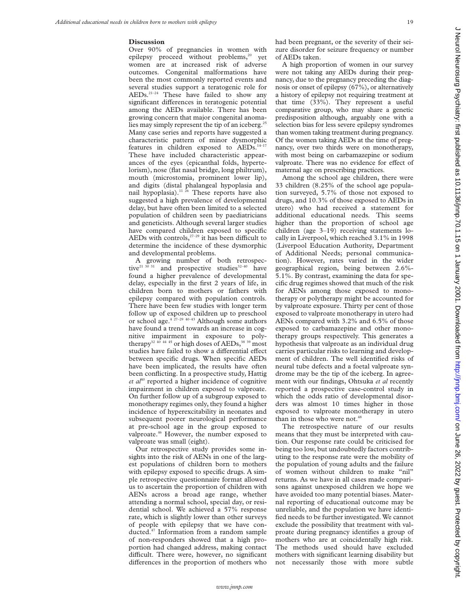#### **Discussion**

Over 90% of pregnancies in women with epilepsy proceed without problems,<sup>20</sup> yet women are at increased risk of adverse outcomes. Congenital malformations have been the most commonly reported events and several studies support a teratogenic role for  $AEDs.$ <sup>21-24</sup> These have failed to show any significant differences in teratogenic potential among the AEDs available. There has been growing concern that major congenital anomalies may simply represent the tip of an iceberg.<sup>25</sup> Many case series and reports have suggested a characteristic pattern of minor dysmorphic features in children exposed to AEDs.<sup>14-17</sup> These have included characteristic appearances of the eyes (epicanthal folds, hypertelorism), nose (flat nasal bridge, long philtrum), mouth (microstomia, prominent lower lip), and digits (distal phalangeal hypoplasia and nail hypoplasia).<sup>11 26</sup> These reports have also suggested a high prevalence of developmental delay, but have often been limited to a selected population of children seen by paediatricians and geneticists. Although several larger studies have compared children exposed to specific AEDs with controls, $27-29$  it has been difficult to determine the incidence of these dysmorphic and developmental problems.

A growing number of both retrospective<sup>21 30</sup> 31 and prospective studies<sup>32-40</sup> have found a higher prevalence of developmental delay, especially in the first 2 years of life, in children born to mothers or fathers with epilepsy compared with population controls. There have been few studies with longer term follow up of exposed children up to preschool or school age. $4^{27-29-40-43}$  Although some authors have found a trend towards an increase in cognitive impairment in exposure to polytherapy<sup>32 40 44 45</sup> or high doses of AEDs,<sup>38 39</sup> most studies have failed to show a differential effect between specific drugs. When specific AEDs have been implicated, the results have often been conflicting. In a prospective study, Hattig et al<sup>40</sup> reported a higher incidence of cognitive impairment in children exposed to valproate. On further follow up of a subgroup exposed to monotherapy regimes only, they found a higher incidence of hyperexcitability in neonates and subsequent poorer neurological performance at pre-school age in the group exposed to valproate.<sup>46</sup> However, the number exposed to valproate was small (eight).

Our retrospective study provides some insights into the risk of AENs in one of the largest populations of children born to mothers with epilepsy exposed to specific drugs. A simple retrospective questionnaire format allowed us to ascertain the proportion of children with AENs across a broad age range, whether attending a normal school, special day, or residential school. We achieved a 57% response rate, which is slightly lower than other surveys of people with epilepsy that we have conducted.47 Information from a random sample of non-responders showed that a high proportion had changed address, making contact difficult. There were, however, no significant differences in the proportion of mothers who

had been pregnant, or the severity of their seizure disorder for seizure frequency or number of AEDs taken.

A high proportion of women in our survey were not taking any AEDs during their pregnancy, due to the pregnancy preceding the diagnosis or onset of epilepsy (67%), or alternatively a history of epilepsy not requiring treatment at that time (33%). They represent a useful comparative group, who may share a genetic predisposition although, arguably one with a selection bias for less severe epilepsy syndromes than women taking treatment during pregnancy. Of the women taking AEDs at the time of pregnancy, over two thirds were on monotherapy, with most being on carbamazepine or sodium valproate. There was no evidence for effect of maternal age on prescribing practices.

Among the school age children, there were 33 children (8.25% of the school age population surveyed, 5.7% of those not exposed to drugs, and 10.3% of those exposed to AEDs in utero) who had received a statement for additional educational needs*.* This seems higher than the proportion of school age children (age 3–19) receiving statements locally in Liverpool, which reached 3.1% in 1998 (Liverpool Education Authority, Department of Additional Needs; personal communication). However, rates varied in the wider geographical region, being between 2.6%- 5.1%. By contrast, examining the data for specific drug regimes showed that much of the risk for AENs among those exposed to monotherapy or polytherapy might be accounted for by valproate exposure. Thirty per cent of those exposed to valproate monotherapy in utero had AENs compared with 3.2% and 6.5% of those exposed to carbamazepine and other monotherapy groups respectively. This generates a hypothesis that valproate as an individual drug carries particular risks to learning and development of children. The well identified risks of neural tube defects and a foetal valproate syndrome may be the tip of the iceberg. In agreement with our findings, Ohtsuka *et al* recently reported a prospective case-control study in which the odds ratio of developmental disorders was almost 10 times higher in those exposed to valproate monotherapy in utero than in those who were not.<sup>48</sup>

The retrospective nature of our results means that they must be interpreted with caution. Our response rate could be criticised for being too low, but undoubtedly factors contributing to the response rate were the mobility of the population of young adults and the failure of women without children to make "nil" returns. As we have in all cases made comparisons against unexposed children we hope we have avoided too many potential biases. Maternal reporting of educational outcome may be unreliable, and the population we have identified needs to be further investigated. We cannot exclude the possibility that treatment with valproate during pregnancy identifies a group of mothers who are at coincidentally high risk. The methods used should have excluded mothers with significant learning disability but not necessarily those with more subtle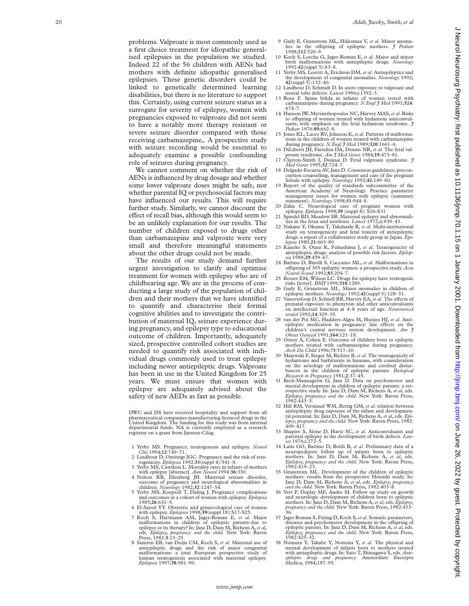problems. Valproate is most commonly used as a first choice treatment for idiopathic generalised epilepsies in the population we studied. Indeed 22 of the 56 children with AENs had mothers with definite idiopathic generalised epilepsies. These genetic disorders could be linked to genetically determined learning disabilities, but there is no literature to support this. Certainly, using current seizure status as a surrogate for severity of epilepsy, women with pregnancies exposed to valproate did not seem to have a notably more therapy resistant or severe seizure disorder compared with those receiving carbamazepine,. A prospective study with seizure recording would be essential to adequately examine a possible confounding role of seizures during pregnancy.

We cannot comment on whether the risk of AENs is influenced by drug dosage and whether some lower valproate doses might be safe, nor whether parental IQ or psychosocial factors may have influenced our results. This will require further study. Similarly, we cannot discount the effect of recall bias, although this would seem to be an unlikely explanation for our results. The number of children exposed to drugs other than carbamazepine and valproate were very small and therefore meaningful statements about the other drugs could not be made.

The results of our study demand further urgent investigation to clarify and optimise treatment for women with epilepsy who are of childbearing age. We are in the process of conducting a large study of the population of children and their mothers that we have identified to quantify and characterise their formal cognitive abilities and to investigate the contribution of maternal IQ, seizure experience during pregnancy, and epilepsy type to educational outcome of children. Importantly, adequately sized, prospective controlled cohort studies are needed to quantify risk associated with individual drugs commonly used to treat epilepsy including newer antiepileptic drugs. Valproate has been in use in the United Kingdom for 25 years. We must ensure that women with epilepsy are adequately advised about the safety of new AEDs as fast as possible.

DWC and DS have received hospitality and support from all pharmaceutical companies manufacturing licenced drugs in the United Kingdom. The funding for this study was from internal departmental funds. NA is currently employed as a research registrar on a grant from Janssen-Cilag.

- 1 Yerby MS. Pregnancy, teratogenesis and epilepsy. *Neurol*
- *Clin* 1994;**12**:749–71. 2 Lindhout D, Omitzigt JGC. Pregnancy and the risk of tera-togenicity. *Epilepsia* 1992;**35**(suppl 4):541–8. 3 Yerby MS, Cawthon L. Mortality rates in infants of mothers
- with epilepsy [abstract]. *Ann Neurol* 1994:**36**:330.
- 4 Nelson KB, Ellenberg JH. Maternal seizure disorder, outcome of pregnancy and neurological abnormalities in
- 5 Yerby MS, Koepsell T, Daling J. Pregnancy complications and outcomes in a cohort of women with epilepsy. *Epilepsia* 1985;**26**:631–5. 6 El-Sayed YY. Obstetric and gynaecological care of women
- 
- with epilepsy. *Epilepsia* 1998;39(suppl 18):S17-S25.<br>7 Koch S, Hartmann AM, Jager-Roman E, *et al. Major* malformations in children of epileptic parents-due to epilepsy or its therapy? In: Janz D, Dam M, Richens A, *et al* eds. *Epilepsy, pregnancy and the child*. New York: Raven Press, 1982: **3**:13–25.
- 8 Samren EB, van Duijn CM, Koch S, *et al*. Maternal use of antiepileptic drugs and the risk of major congenital malformations: a joint European prospective study of human teratogenesis associated with maternal epilepsy. *Epilepsia* 1997;**38**:981–90.
- 9 Gaily E, Granstrom ML, Hiilesmaa V, *et al*. Minor anomalies in the offspring of epileptic mothers. *J Pediatr* 1988;**112**:520–9.
- 10 Koch S, Losche G, Jager-Roman E, *et al*. Major and minor birth malformations with antiepileptic drugs. *Neurology* 1992:**42**(suppl 5):83–8.
- 11 Yerby MS, Leavitt A, Erickson DM, *et al*. Antiepileptics and the development of congenital anomalies. *Neurology* 1992; **42**(suppl 5):132–40.
- 12 Lindhout D, Schmidt D. In utero exposure to valproate and neural tube defects. *Lancet* 1986;i:1392–3.
- 13 Rosa F. Spina bifida in infants of women tested with carbamazepine during pregnancy. *N Engl J Med* 1991;**324** : 674–7.
- 14 Hanson JW, Myrianthopoulos NC, Harvey MAS,*et al*. Risks to offspring of women treated with hydantoin anticonvulsants, with emphasis on the fetal hydantoin syndrome. *J Pediatr* 1976:**89**;662–8.
- 15 Jones KL, Lacro RV, Johnson K,*et al*. Patterns of malformations in the children of women treated with carbamazepine during pregnancy. *N Engl J Med* 1989;**320**:1661–6.
- 16 DiLiberti JH, Farndon DA, Dennis NR, *et al*. The fetal valproate syndrome. *Am J Med Genet* 1984;**19**:473–81. 17 Clayton-Smith J, Donnai D. Fetal valproate syndrome. *J*
- *Med Genet* 1995;**32**:724–7.
- 18 Delgado-Escueta AV, Janz D. Consensus guidelines; preconception counselling, management and care of the pregnant female with epilepsy. *Neurology* 1992;**42**:149–60.
- 19 Report of the quality of standards subcommittee of the American Academy of Neurology. Practice parameter management issues for women with epilepsy (summary
- 
- statement). *Neurology* 1998;51:944–8.<br>
20 Zahn C. Neurological care of pregnant women with<br>
epilepsy. *Epilepsia* 1998;39 (suppl 8): S26–S31<br>
21 Spiedel BD, Meadow SR. Maternal epilepsy and abnormali-<br>
ties in the fetus a
- study on teratogenicity and fetal toxicity of antiepileptic drugs: a report of a collaborative study group in Japan. *Epi-lepsia* 1980;**21**:663–80.
- 23 Kaneko S, Otani K, Fukushima J, *et al*. Teratogenicity of antiepileptic drugs: analysis of possible risk factors. *Epilep-*
- *sia* 1988;**29**:459–67. 24 Battino D, Binelli S, Caccamo ML, *et al.* Malformations in offspring of 305 epileptic women: a prospective study. *Acta Neurol Scand* 1992;85:204–7.
- 25 Rosser EM, Wilson LC. Drugs for epilepsy have teratogenic risks [letter]. *BMJ* 1999;**318**:1289.
- 26 Gaily E, Granstrom ML. Minor anomalies in children of epileptic mothers. *Neurology* 1992;42(suppl 5):128–31.<br>27 Vanoverloop D, Schnell RR, Harvey EA, *et al*. The effects of
- prenatal exposure to phenytoin and other anticonvulsants on intellectual function at 4–8 years of age. *Neurotoxicol teratol* 1992;**14**:329–35.
- 28 van der Pol MC, Hadders-Algra M, Huisjes HJ, *et al*. Antiepileptic medication in pregnancy: late effects on the children's central nervous system development. *Am J Obstet Gynecol* 1991;**164**:121–18.
- 29 Ornoy A, Cohen E. Outcome of children born to epileptic mothers treated with carbamazepine during pregnancy. *Arch Dis Child* 1996;**75**:517–20.
- 30 Majewski F, Steger M, Richter B, *et al*. The teratogenicity of hydantoins and barbiturate in humans, with consideration on the aetiology of malformations and cerebral disturbances in the children of epileptic parents. *Biological Research in Pregnancy* 1981; **2**:37–45.
- 31 Beck-Mannagetta G, Janz D. Data on psychomotor and mental development in children of epileptic parents: a retrospective study. In: Janz D, Dam M, Richens A, *et al*, eds. *Epilepsy, pregnancy and the child*. New York: Raven Press, 1982:443–5.
- 32 Hill RM, Verniaud WM, Rettig GM, *et al*. relation between antiepileptic drug exposure of the infant and developmen-tal potential. In: Janz D, Dam M, Richens A, *et al*, eds. *Epilepsy, pregnancy and the child*. New York: Raven Press, 1982: 409–417.
- 33 Shapiro S, Slone D, Hartz SC, *et al*. Anticonvulsants and parental epilepsy in the development of birth defects. *Lan-cet* 1976;i:272–5.
- 34 Latis GO, Battino D, Boldi B, *et al*. Preliminary data of a neuropediatric follow up of infants born to epileptic mothers. In: Janz D, Dam M, Richens A, *et al*, eds. *Epilepsy, pregnancy and the child*. New York: Raven Press, 1982:419–23.
- 35 Granstrom ML. Development of the children of epileptic mothers: results from the prospective Helsinki study. In: Janz D, Dam M, Richens A, *et al*, eds. *Epilepsy, pregnancy and the child*. New York: Raven Press, 1982:403–8.
- 36 Vert P, Deplay MF, Andre M. Follow up study on growth and neurologic development of children born to epileptic mothers. In: Janz D, Dam M, Richens A, *et al*, eds. *Epilepsy, pregnancy and the child*. New York: Raven Press, 1982:433– 36.
- 37 Jager Roman S, Fating D, Koch S, *et al*. Somatic parameters, diseases and psychomotor development in the offspring of epileptic parents. In: Janz D, Dam M, Richens A, *et al*, eds. *Epilepsy, pregnancy and the child*. New York: Raven Press, 1982:425–32.
- 38 Nomura Y, Takabe Y, Nomura Y, *et al*. The physical and mental development of infants born to mothers treated with antiepileptic drugs. In: Sato T, Shinagawa S, eds. *Anti-epileptic drugs and pregnancy*. Amsterdam: Excerpta Medica, 1984;187–95.

 $\epsilon$